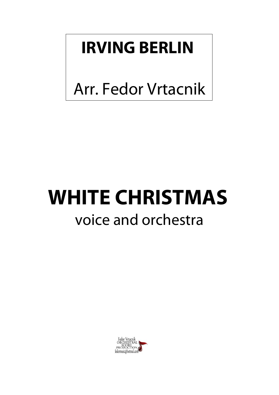## **IRVING BERLIN**

Arr. Fedor Vrtacnik

## **WHITE CHRISTMAS** voice and orchestra

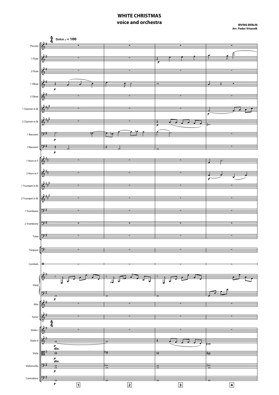## **WHITE CHRISTMAS voice and orchestra**

**Arr. Fedor Vrtacnik**